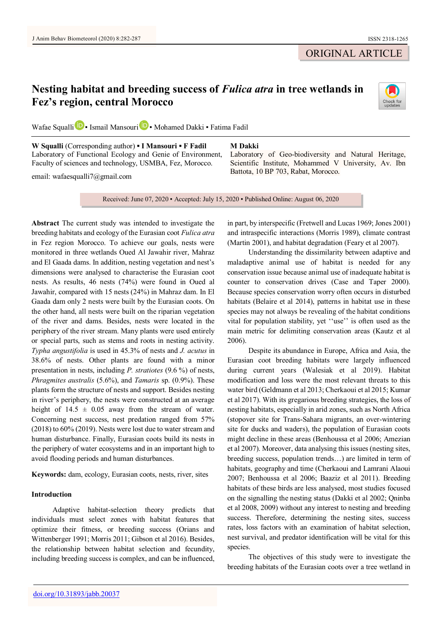ORIGINAL ARTICLE

# **Nesting habitat and breeding success of** *Fulica atra* **in tree wetlands in Fez's region, central Morocco**



Wafae Squall[i](https://orcid.org/0000-0002-3679-6050) **D** • Ismail Mansouri **D** • Mohamed Dakki • Fatima Fadil

**W Squalli** (Corresponding author) **▪ I Mansouri ▪ F Fadil** Laboratory of Functional Ecology and Genie of Environment, Faculty of sciences and technology, USMBA, Fez, Morocco.

email: wafaesqualli7@gmail.com

**M Dakki**

Laboratory of Geo-biodiversity and Natural Heritage, Scientific Institute, Mohammed V University, Av. Ibn Battota, 10 BP 703, Rabat, Morocco.

Received: June 07, 2020 ▪ Accepted: July 15, 2020 ▪ Published Online: August 06, 2020

**Abstract** The current study was intended to investigate the breeding habitats and ecology of the Eurasian coot *Fulica atra*  in Fez region Morocco. To achieve our goals, nests were monitored in three wetlands Oued Al Jawahir river, Mahraz and El Gaada dams. In addition, nesting vegetation and nest's dimensions were analysed to characterise the Eurasian coot nests. As results, 46 nests (74%) were found in Oued al Jawahir, compared with 15 nests (24%) in Mahraz dam. In El Gaada dam only 2 nests were built by the Eurasian coots. On the other hand, all nests were built on the riparian vegetation of the river and dams. Besides, nests were located in the periphery of the river stream. Many plants were used entirely or special parts, such as stems and roots in nesting activity. *Typha angustifolia* is used in 45.3% of nests and *J. acutus* in 38.6% of nests. Other plants are found with a minor presentation in nests, including *P. stratiotes* (9.6 %) of nests, *Phragmites australis* (5.6%), and *Tamaris* sp. (0.9%). These plants form the structure of nests and support. Besides nesting in river's periphery, the nests were constructed at an average height of  $14.5 \pm 0.05$  away from the stream of water. Concerning nest success, nest predation ranged from 57% (2018) to 60% (2019). Nests were lost due to water stream and human disturbance. Finally, Eurasian coots build its nests in the periphery of water ecosystems and in an important high to avoid flooding periods and human disturbances.

**Keywords:** dam, ecology, Eurasian coots, nests, river, sites

# **Introduction**

Adaptive habitat-selection theory predicts that individuals must select zones with habitat features that optimize their fitness, or breeding success (Orians and Wittenberger 1991; Morris 2011; Gibson et al 2016). Besides, the relationship between habitat selection and fecundity, including breeding success is complex, and can be influenced,

in part, by interspecific (Fretwell and Lucas 1969; Jones 2001) and intraspecific interactions (Morris 1989), climate contrast (Martin 2001), and habitat degradation (Feary et al 2007).

Understanding the dissimilarity between adaptive and maladaptive animal use of habitat is needed for any conservation issue because animal use of inadequate habitat is counter to conservation drives (Case and Taper 2000). Because species conservation worry often occurs in disturbed habitats (Belaire et al 2014), patterns in habitat use in these species may not always be revealing of the habitat conditions vital for population stability, yet ''use'' is often used as the main metric for delimiting conservation areas (Kautz et al 2006).

Despite its abundance in Europe, Africa and Asia, the Eurasian coot breeding habitats were largely influenced during current years (Walesiak et al 2019). Habitat modification and loss were the most relevant threats to this water bird (Geldmann et al 2013; Cherkaoui et al 2015; Kumar et al 2017). With its gregarious breeding strategies, the loss of nesting habitats, especially in arid zones, such as North Africa (stopover site for Trans-Sahara migrants, an over-wintering site for ducks and waders), the population of Eurasian coots might decline in these areas (Benhoussa et al 2006; Amezian et al 2007). Moreover, data analysing this issues (nesting sites, breeding success, population trends…) are limited in term of habitats, geography and time (Cherkaoui and Lamrani Alaoui 2007; Benhoussa et al 2006; Baaziz et al 2011). Breeding habitats of these birds are less analysed, most studies focused on the signalling the nesting status (Dakki et al 2002; Qninba et al 2008, 2009) without any interest to nesting and breeding success. Therefore, determining the nesting sites, success rates, loss factors with an examination of habitat selection, nest survival, and predator identification will be vital for this species.

The objectives of this study were to investigate the breeding habitats of the Eurasian coots over a tree wetland in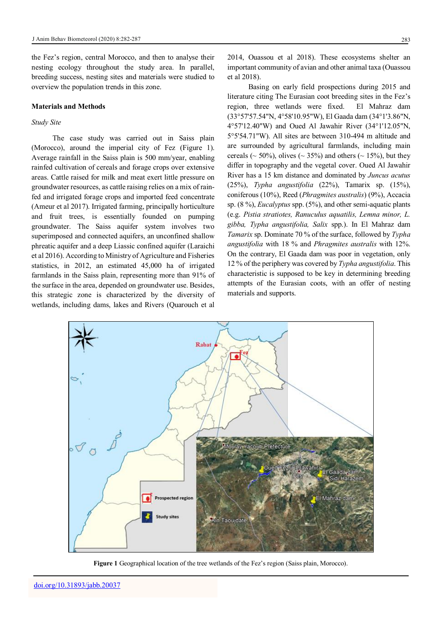the Fez's region, central Morocco, and then to analyse their nesting ecology throughout the study area. In parallel, breeding success, nesting sites and materials were studied to overview the population trends in this zone.

#### **Materials and Methods**

# *Study Site*

The case study was carried out in Saiss plain (Morocco), around the imperial city of Fez (Figure 1). Average rainfall in the Saiss plain is 500 mm/year, enabling rainfed cultivation of cereals and forage crops over extensive areas. Cattle raised for milk and meat exert little pressure on groundwater resources, as cattle raising relies on a mix of rainfed and irrigated forage crops and imported feed concentrate (Ameur et al 2017). Irrigated farming, principally horticulture and fruit trees, is essentially founded on pumping groundwater. The Saiss aquifer system involves two superimposed and connected aquifers, an unconfined shallow phreatic aquifer and a deep Liassic confined aquifer (Laraichi et al 2016). According to Ministry of Agriculture and Fisheries statistics, in 2012, an estimated 45,000 ha of irrigated farmlands in the Saiss plain, representing more than 91% of the surface in the area, depended on groundwater use. Besides, this strategic zone is characterized by the diversity of wetlands, including dams, lakes and Rivers (Quarouch et al

2014, Ouassou et al 2018). These ecosystems shelter an important community of avian and other animal taxa (Ouassou et al 2018).

Basing on early field prospections during 2015 and literature citing The Eurasian coot breeding sites in the Fez's region, three wetlands were fixed. El Mahraz dam (33°57'57.54"N, 4°58'10.95"W), El Gaada dam (34°1'3.86"N, 4°57'12.40"W) and Oued Al Jawahir River (34°1'12.05"N, 5°5'54.71"W). All sites are between 310-494 m altitude and are surrounded by agricultural farmlands, including main cereals ( $\sim$  50%), olives ( $\sim$  35%) and others ( $\sim$  15%), but they differ in topography and the vegetal cover. Oued Al Jawahir River has a 15 km distance and dominated by *Juncus acutus*  (25%), *Typha angustifolia* (22%), Tamarix sp. (15%), coniferous (10%), Reed (*Phragmites australis*) (9%), Accacia sp. (8 %), *Eucalyptus* spp. (5%), and other semi-aquatic plants (e.g. *Pistia stratiotes, Ranuculus aquatilis, Lemna minor, L. gibba, Typha angustifolia, Salix* spp.). In El Mahraz dam *Tamarix* sp. Dominate 70 % of the surface, followed by *Typha angustifolia* with 18 % and *Phragmites australis* with 12%. On the contrary, El Gaada dam was poor in vegetation, only 12 % of the periphery was covered by *Typha angustifolia*. This characteristic is supposed to be key in determining breeding attempts of the Eurasian coots, with an offer of nesting materials and supports.



**Figure 1** Geographical location of the tree wetlands of the Fez's region (Saiss plain, Morocco).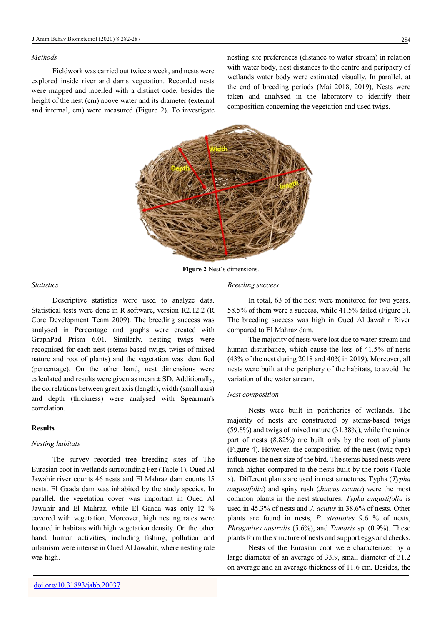## *Methods*

Fieldwork was carried out twice a week, and nests were explored inside river and dams vegetation. Recorded nests were mapped and labelled with a distinct code, besides the height of the nest (cm) above water and its diameter (external and internal, cm) were measured (Figure 2). To investigate nesting site preferences (distance to water stream) in relation with water body, nest distances to the centre and periphery of wetlands water body were estimated visually. In parallel, at the end of breeding periods (Mai 2018, 2019), Nests were taken and analysed in the laboratory to identify their composition concerning the vegetation and used twigs.



**Figure 2** Nest's dimensions.

# *Statistics*

Descriptive statistics were used to analyze data. Statistical tests were done in R software, version R2.12.2 (R Core Development Team 2009). The breeding success was analysed in Percentage and graphs were created with GraphPad Prism 6.01. Similarly, nesting twigs were recognised for each nest (stems-based twigs, twigs of mixed nature and root of plants) and the vegetation was identified (percentage). On the other hand, nest dimensions were calculated and results were given as mean  $\pm$  SD. Additionally, the correlations between great axis (length), width (small axis) and depth (thickness) were analysed with Spearman's correlation.

# **Results**

## *Nesting habitats*

The survey recorded tree breeding sites of The Eurasian coot in wetlands surrounding Fez (Table 1). Oued Al Jawahir river counts 46 nests and El Mahraz dam counts 15 nests. El Gaada dam was inhabited by the study species. In parallel, the vegetation cover was important in Oued Al Jawahir and El Mahraz, while El Gaada was only 12 % covered with vegetation. Moreover, high nesting rates were located in habitats with high vegetation density. On the other hand, human activities, including fishing, pollution and urbanism were intense in Oued Al Jawahir, where nesting rate was high.

#### *Breeding success*

In total, 63 of the nest were monitored for two years. 58.5% of them were a success, while 41.5% failed (Figure 3). The breeding success was high in Oued Al Jawahir River compared to El Mahraz dam.

The majority of nests were lost due to water stream and human disturbance, which cause the loss of 41.5% of nests (43% of the nest during 2018 and 40% in 2019). Moreover, all nests were built at the periphery of the habitats, to avoid the variation of the water stream.

#### *Nest composition*

Nests were built in peripheries of wetlands. The majority of nests are constructed by stems-based twigs (59.8%) and twigs of mixed nature (31.38%), while the minor part of nests (8.82%) are built only by the root of plants (Figure 4). However, the composition of the nest (twig type) influences the nest size of the bird. The stems based nests were much higher compared to the nests built by the roots (Table x). Different plants are used in nest structures. Typha (*Typha angustifolia*) and spiny rush (*Juncus acutus*) were the most common plants in the nest structures. *Typha angustifolia* is used in 45.3% of nests and *J. acutus* in 38.6% of nests. Other plants are found in nests, *P. stratiotes* 9.6 % of nests, *Phragmites australis* (5.6%), and *Tamaris* sp. (0.9%). These plants form the structure of nests and support eggs and checks.

Nests of the Eurasian coot were characterized by a large diameter of an average of 33.9, small diameter of 31.2 on average and an average thickness of 11.6 cm. Besides, the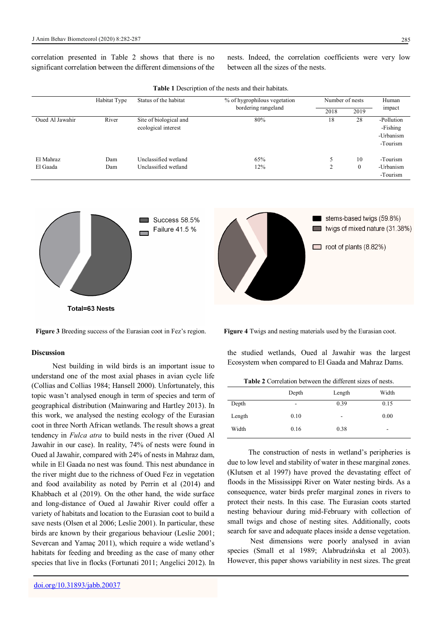correlation presented in Table 2 shows that there is no significant correlation between the different dimensions of the

nests. Indeed, the correlation coefficients were very low between all the sizes of the nests.

| <b>THEIR TELEVISION OF THE HUSTS AND HIGH HAD HALF.</b> |              |                        |                                                     |                 |                  |            |  |  |  |
|---------------------------------------------------------|--------------|------------------------|-----------------------------------------------------|-----------------|------------------|------------|--|--|--|
|                                                         | Habitat Type | Status of the habitat  | % of hygrophilous vegetation<br>bordering rangeland | Number of nests |                  | Human      |  |  |  |
|                                                         |              |                        |                                                     | 2018            | 2019             | impact     |  |  |  |
| Oued Al Jawahir                                         | River        | Site of biological and | 80%                                                 | 18              | 28               | -Pollution |  |  |  |
|                                                         |              | ecological interest    |                                                     |                 |                  | -Fishing   |  |  |  |
|                                                         |              |                        |                                                     |                 |                  | -Urbanism  |  |  |  |
|                                                         |              |                        |                                                     |                 |                  | -Tourism   |  |  |  |
|                                                         |              |                        |                                                     |                 |                  |            |  |  |  |
| El Mahraz                                               | Dam          | Unclassified wetland   | 65%                                                 |                 | 10               | -Tourism   |  |  |  |
| El Gaada                                                | Dam          | Unclassified wetland   | 12%                                                 |                 | $\boldsymbol{0}$ | -Urbanism  |  |  |  |
|                                                         |              |                        |                                                     |                 |                  | -Tourism   |  |  |  |

**Table 1** Description of the nests and their habitats.



# **Discussion**

Nest building in wild birds is an important issue to understand one of the most axial phases in avian cycle life (Collias and Collias 1984; Hansell 2000). Unfortunately, this topic wasn't analysed enough in term of species and term of geographical distribution (Mainwaring and Hartley 2013). In this work, we analysed the nesting ecology of the Eurasian coot in three North African wetlands. The result shows a great tendency in *Fulca atra* to build nests in the river (Oued Al Jawahir in our case). In reality, 74% of nests were found in Oued al Jawahir, compared with 24% of nests in Mahraz dam, while in El Gaada no nest was found. This nest abundance in the river might due to the richness of Oued Fez in vegetation and food availability as noted by Perrin et al (2014) and Khabbach et al (2019). On the other hand, the wide surface and long-distance of Oued al Jawahir River could offer a variety of habitats and location to the Eurasian coot to build a save nests (Olsen et al 2006; Leslie 2001). In particular, these birds are known by their gregarious behaviour (Leslie 2001; Severcan and Yamaç 2011), which require a wide wetland's habitats for feeding and breeding as the case of many other species that live in flocks (Fortunati 2011; Angelici 2012). In

**Figure 3** Breeding success of the Eurasian coot in Fez's region. **Figure 4** Twigs and nesting materials used by the Eurasian coot.

the studied wetlands, Oued al Jawahir was the largest Ecosystem when compared to El Gaada and Mahraz Dams.

| <b>Table 2</b> Correlation between the different sizes of nests. |  |  |  |
|------------------------------------------------------------------|--|--|--|
|------------------------------------------------------------------|--|--|--|

|        | Depth | Length | Width                    |  |
|--------|-------|--------|--------------------------|--|
| Depth  | ۰     | 0.39   | 0.15                     |  |
| Length | 0.10  | -      | 0.00                     |  |
| Width  | 0.16  | 0.38   | $\overline{\phantom{a}}$ |  |
|        |       |        |                          |  |

The construction of nests in wetland's peripheries is due to low level and stability of water in these marginal zones. (Klutsen et al 1997) have proved the devastating effect of floods in the Mississippi River on Water nesting birds. As a consequence, water birds prefer marginal zones in rivers to protect their nests. In this case. The Eurasian coots started nesting behaviour during mid-February with collection of small twigs and chose of nesting sites. Additionally, coots search for save and adequate places inside a dense vegetation.

Nest dimensions were poorly analysed in avian species (Small et al 1989; Alabrudzińska et al 2003). However, this paper shows variability in nest sizes. The great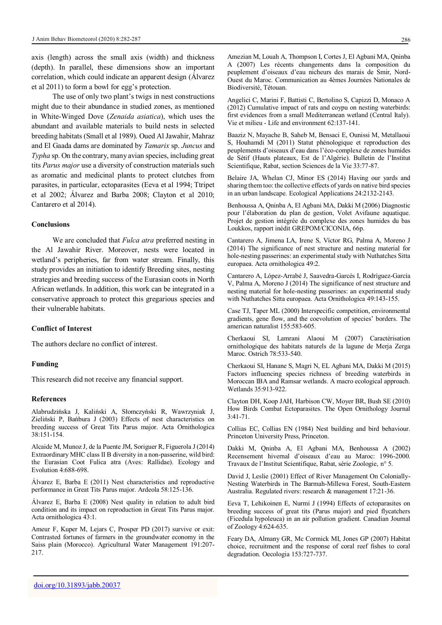axis (length) across the small axis (width) and thickness (depth). In parallel, these dimensions show an important correlation, which could indicate an apparent design (Álvarez et al 2011) to form a bowl for egg's protection.

The use of only two plant's twigs in nest constructions might due to their abundance in studied zones, as mentioned in White-Winged Dove (*Zenaida asiatica*), which uses the abundant and available materials to build nests in selected breeding habitats (Small et al 1989). Oued Al Jawahir, Mahraz and El Gaada dams are dominated by *Tamarix* sp. *Juncus* and *Typha* sp. On the contrary, many avian species, including great tits *Parus major* use a diversity of construction materials such as aromatic and medicinal plants to protect clutches from parasites, in particular, ectoparasites (Eeva et al 1994; Ttripet et al 2002; Álvarez and Barba 2008; Clayton et al 2010; Cantarero et al 2014).

## **Conclusions**

We are concluded that *Fulca atra* preferred nesting in the Al Jawahir River. Moreover, nests were located in wetland's peripheries, far from water stream. Finally, this study provides an initiation to identify Breeding sites, nesting strategies and breeding success of the Eurasian coots in North African wetlands. In addition, this work can be integrated in a conservative approach to protect this gregarious species and their vulnerable habitats.

## **Conflict of Interest**

The authors declare no conflict of interest.

#### **Funding**

This research did not receive any financial support.

#### **References**

Alabrudzińska J, Kaliński A, Słomczyński R, Wawrzyniak J, Zieliński P, Bańbura J (2003) Effects of nest characteristics on breeding success of Great Tits Parus major. Acta Ornithologica 38:151-154.

Alcaide M, Munoz J, de la Puente JM, Soriguer R, Figuerola J (2014) Extraordinary MHC class II B diversity in a non-passerine, wild bird: the Eurasian Coot Fulica atra (Aves: Rallidae). Ecology and Evolution 4:688-698.

Álvarez E, Barba E (2011) Nest characteristics and reproductive performance in Great Tits Parus major. Ardeola 58:125-136.

Álvarez E, Barba E (2008) Nest quality in relation to adult bird condition and its impact on reproduction in Great Tits Parus major. Acta ornithologica 43:1.

Ameur F, Kuper M, Lejars C, Prosper PD (2017) survive or exit: Contrasted fortunes of farmers in the groundwater economy in the Saiss plain (Morocco). Agricultural Water Management 191:207- 217.

Amezian M, Louah A, Thompson I, Cortes J, El Agbani MA, Qninba A (2007) Les récents changements dans la composition du peuplement d'oiseaux d'eau nicheurs des marais de Smir, Nord-Ouest du Maroc. Communication au 4èmes Journées Nationales de Biodiversité, Tétouan.

Angelici C, Marini F, Battisti C, Bertolino S, Capizzi D, Monaco A (2012) Cumulative impact of rats and coypu on nesting waterbirds: first evidences from a small Mediterranean wetland (Central Italy). Vie et milieu - Life and environment 62:137-141.

Baaziz N, Mayache B, Saheb M, Bensaci E, Ounissi M, Metallaoui S, Houhamdi M (2011) Statut phénologique et reproduction des peuplements d'oiseaux d'eau dans l'éco-complexe de zones humides de Sétif (Hauts plateaux, Est de l'Algérie). Bulletin de l'Institut Scientifique, Rabat, section Sciences de la Vie 33:77-87.

Belaire JA, Whelan CJ, Minor ES (2014) Having our yards and sharing them too: the collective effects of yards on native bird species in an urban landscape. Ecological Applications 24:2132-2143.

Benhoussa A, Qninba A, El Agbani MA, Dakki M (2006) Diagnostic pour l'élaboration du plan de gestion, Volet Avifaune aquatique. Projet de gestion intégrée du complexe des zones humides du bas Loukkos, rapport inédit GREPOM/CICONIA, 66p.

Cantarero A, Jimena LA, Irene S, Víctor RG, Palma A, Moreno J (2014) The significance of nest structure and nesting material for hole-nesting passerines: an experimental study with Nuthatches Sitta europaea. Acta ornithologica 49:2.

Cantarero A, López-Arrabé J, Saavedra-Garcés I, Rodríguez-García V, Palma A, Moreno J (2014) The significance of nest structure and nesting material for hole-nesting passerines: an experimental study with Nuthatches Sitta europaea. Acta Ornithologica 49:143-155.

Case TJ, Taper ML (2000) Interspecific competition, environmental gradients, gene flow, and the coevolution of species' borders. The american naturalist 155:583-605.

Cherkaoui SI, Lamrani Alaoui M (2007) Caractérisation ornithologique des habitats naturels de la lagune de Merja Zerga Maroc. Ostrich 78:533-540.

Cherkaoui SI, Hanane S, Magri N, EL Agbani MA, Dakki M (2015) Factors influencing species richness of breeding waterbirds in Moroccan IBA and Ramsar wetlands. A macro ecological approach. Wetlands 35:913-922.

Clayton DH, Koop JAH, Harbison CW, Moyer BR, Bush SE (2010) How Birds Combat Ectoparasites. The Open Ornithology Journal 3:41-71.

Collias EC, Collias EN (1984) Nest building and bird behaviour. Princeton University Press, Princeton.

Dakki M, Qninba A, El Agbani MA, Benhoussa A (2002) Recensement hivernal d'oiseaux d'eau au Maroc: 1996-2000. Travaux de l'Institut Scientifique, Rabat, série Zoologie, n° 5.

David J, Leslie (2001) Effect of River Management On Colonially-Nesting Waterbirds in The Barmah-Millewa Forest, South-Eastern Australia. Regulated rivers: research & management 17:21-36.

Eeva T, Lehikoinen E, Nurmi J (1994) Effects of ectoparasites on breeding success of great tits (Parus major) and pied flycatchers (Ficedula hypoleuca) in an air pollution gradient. Canadian Journal of Zoology 4:624-635.

Feary DA, Almany GR, Mc Cormick MI, Jones GP (2007) Habitat choice, recruitment and the response of coral reef fishes to coral degradation. Oecologia 153:727-737.